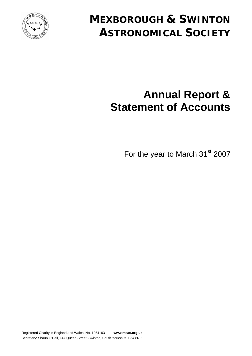

# **MEXBOROUGH & SWINTON ASTRONOMICAL SOCIETY**

# **Annual Report & Statement of Accounts**

For the year to March 31<sup>st</sup> 2007

Registered Charity in England and Wales, No. 1064103 **www.msas.org.uk** Secretary: Shaun O'Dell, 147 Queen Street, Swinton, South Yorkshire, S64 8NG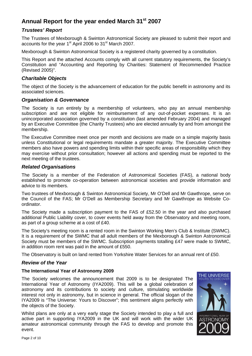# **Annual Report for the year ended March 31st 2007**

# *Trustees' Report*

The Trustees of Mexborough & Swinton Astronomical Society are pleased to submit their report and accounts for the year 1<sup>st</sup> April 2006 to 31<sup>st</sup> March 2007.

Mexborough & Swinton Astronomical Society is a registered charity governed by a constitution.

This Report and the attached Accounts comply with all current statutory requirements, the Society's Constitution and "Accounting and Reporting by Charities: Statement of Recommended Practice (Revised 2005)".

# *Charitable Objects*

The object of the Society is the advancement of education for the public benefit in astronomy and its associated sciences.

# *Organisation & Governance*

The Society is run entirely by a membership of volunteers, who pay an annual membership subscription and are not eligible for reimbursement of any out-of-pocket expenses. It is an unincorporated association governed by a constitution (last amended February 2004) and managed by an Executive Committee (the Charity Trustees) who are elected annually by and from amongst the membership.

The Executive Committee meet once per month and decisions are made on a simple majority basis unless Constitutional or legal requirements mandate a greater majority. The Executive Committee members also have powers and spending limits within their specific areas of responsibility which they may exercise without prior consultation; however all actions and spending must be reported to the next meeting of the trustees.

# *Related Organisations*

The Society is a member of the Federation of Astronomical Societies (FAS), a national body established to promote co-operation between astronomical societies and provide information and advice to its members.

Two trustees of Mexborough & Swinton Astronomical Society, Mr O'Dell and Mr Gawthrope, serve on the Council of the FAS; Mr O'Dell as Membership Secretary and Mr Gawthrope as Website Coordinator.

The Society made a subscription payment to the FAS of £52.50 in the year and also purchased additional Public Liability cover, to cover events held away from the Observatory and meeting room, as part of a group scheme at a cost of £40.

The Society's meeting room is a rented room in the Swinton Working Men's Club & Institute (SWMC). It is a requirement of the SWMC that all adult members of the Mexborough & Swinton Astronomical Society must be members of the SWMC. Subscription payments totalling £47 were made to SWMC, in addition room rent was paid in the amount of £550.

The Observatory is built on land rented from Yorkshire Water Services for an annual rent of £50.

# *Review of the Year*

# **The International Year of Astronomy 2009**

The Society welcomes the announcement that 2009 is to be designated The International Year of Astronomy (IYA2009). This will be a global celebration of astronomy and its contributions to society and culture, stimulating worldwide interest not only in astronomy, but in science in general. The official slogan of the IYA2009 is "The Universe: Yours to Discover"; this sentiment aligns perfectly with the objects of the Society.

Whilst plans are only at a very early stage the Society intended to play a full and active part in supporting IYA2009 in the UK and will work with the wider UK amateur astronomical community through the FAS to develop and promote this event.

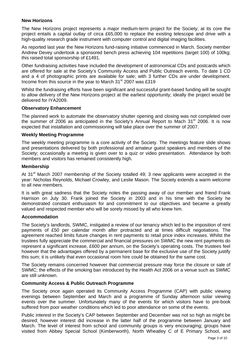# **New Horizons**

The New Horizons project represents a major medium-term project for the Society; at its core the project entails a capital outlay of circa £65,000 to replace the existing telescope and drive with a high-quality research grade instrument with computer control and digital imaging facilities.

As reported last year the New Horizons fund-raising initiative commenced in March. Society member Andrew Devey undertook a sponsored bench press achieving 104 repetitions (target 100) of 100kg; this raised total sponsorship of £1491.

Other fundraising activities have included the development of astronomical CDs and postcards which are offered for sale at the Society's Community Access and Public Outreach events. To date 1 CD and a 4 of photographic prints are available for sale; with 3 further CDs are under development. Income from this source in the year to March 31<sup>st</sup> 2007 was £319

Whilst the fundraising efforts have been significant and successful grant-based funding will be sought to allow delivery of the New Horizons project at the earliest opportunity; ideally the project would be delivered for IYA2009.

# **Observatory Enhancement**

The planned work to automate the observatory shutter opening and closing was not completed over the summer of 2006 as anticipated in the Society's Annual Report to Mach  $31<sup>st</sup>$  2006. It is now expected that installation and commissioning will take place over the summer of 2007.

# **Weekly Meeting Programme**

The weekly meeting programme is a core activity of the Society. The meetings feature slide shows and presentations delivered by both professional and amateur guest speakers and members of the Society; occasionally a meeting is given over to a quiz or video presentation. Attendance by both members and visitors has remained consistently high.

# **Membership**

At 31<sup>st</sup> March 2007 membership of the Society totalled 49: 3 new applicants were accepted in the year: Nicholas Reynolds, Michael Crowley, and Leslie Mason. The Society extends a warm welcome to all new members.

It is with great sadness that the Society notes the passing away of our member and friend Frank Harrison on July 30. Frank joined the Society in 2003 and in his time with the Society he demonstrated constant enthusiasm for and commitment to our objectives and became a greatly valued and respected member who will be sorely missed by all who knew him.

# **Accommodation**

The Society's landlords, SWMC, instigated a review of our tenancy which led to the imposition of rent payments of £50 per calendar month after protracted and at times difficult negotiations. The agreement reached limits future changes in rent payments to retail price index increases. Whilst the trustees fully appreciate the commercial and financial pressures on SWMC the new rent payments do represent a significant increase, £600 per annum, on the Society's operating costs. The trustees feel however that the advantages offered by a permanent base for the exclusive use of the Society justify this sum; it is unlikely that even occasional room hire could be obtained for the same cost.

The Society remains concerned however that commercial pressure may force the closure or sale of SWMC; the effects of the smoking ban introduced by the Health Act 2006 on a venue such as SWMC are still unknown.

# **Community Access & Public Outreach Programme**

The Society once again operated its Community Access Programme (CAP) with public viewing evenings between September and March and a programme of Sunday afternoon solar viewing events over the summer. Unfortunately many of the events for which visitors have to pre-book suffered from poor weather conditions which led to poor attendance on some of the events.

Public interest in the Society's CAP between September and December was not so high as might be desired; however interest did increase in the latter half of the programme between January and March. The level of interest from school and community groups is very encouraging; groups have visited from Abbey Special School (Kimberworth), North Wheatley C of E Primary School, and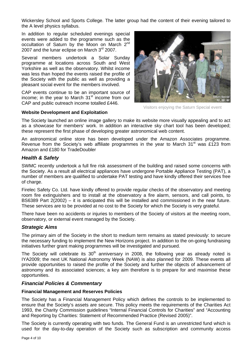Wickersley School and Sports College. The latter group had the content of their evening tailored to the A level physics syllabus.

In addition to regular scheduled evenings special events were added to the programme such as the occultation of Saturn by the Moon on March 2<sup>nd</sup> 2007 and the lunar eclipse on March  $3<sup>rd</sup>$  2007.

Several members undertook a Solar Sunday programme at locations across South and West Yorkshire as well as the observatory. Whilst income was less than hoped the events raised the profile of the Society with the public as well as providing a pleasant social event for the members involved.

CAP events continue to be an important source of income; in the year to March  $31<sup>st</sup>$  income from our CAP and public outreach income totalled £446.



Visitors enjoying the Saturn Special event

# **Website Development and Exploitation**

The Society launched an online image gallery to make its website more visually appealing and to act as a showcase for members' work. In addition an interactive sky chart tool has been developed; these represent the first phase of developing greater astronomical web content.

An astronomical online store has been developed under the Amazon Associates programme. Revenue from the Society's web affiliate programmes in the year to March  $31<sup>st</sup>$  was £123 from Amazon and £180 for TradeDoubler

# *Health & Safety*

SWMC recently undertook a full fire risk assessment of the building and raised some concerns with the Society. As a result all electrical appliances have undergone Portable Appliance Testing (PAT), a number of members are qualified to undertake PAT testing and have kindly offered their services free of charge.

Firelec Safety Co. Ltd. have kindly offered to provide regular checks of the observatory and meeting room fire extinguishers and to install at the observatory a fire alarm, sensors, and call points, to BS6389 Part 2(2002) – it is anticipated this will be installed and commissioned in the near future. These services are to be provided at no cost to the Society for which the Society is very grateful.

There have been no accidents or injuries to members of the Society of visitors at the meeting room, observatory, or external event managed by the Society.

# *Strategic Aims*

The primary aim of the Society in the short to medium term remains as stated previously: to secure the necessary funding to implement the New Horizons project. In addition to the on-going fundraising initiatives further grant making programmes will be investigated and pursued.

The Society will celebrate its  $30<sup>th</sup>$  anniversary in 2008, the following year as already noted is IYA2009; the next UK National Astronomy Week (NAW) is also planned for 2009. These events all provide opportunities to raised the profile of the Society and further the objects of advancement of astronomy and its associated sciences; a key aim therefore is to prepare for and maximise these opportunities.

# *Financial Policies & Commentary*

# **Financial Management and Reserves Policies**

The Society has a Financial Management Policy which defines the controls to be implemented to ensure that the Society's assets are secure. This policy meets the requirements of the Charities Act 1993, the Charity Commission guidelines "Internal Financial Controls for Charities" and "Accounting and Reporting by Charities: Statement of Recommended Practice (Revised 2005)".

The Society is currently operating with two funds. The General Fund is an unrestricted fund which is used for the day-to-day operation of the Society such as subscription and community access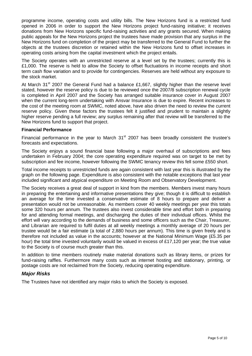programme income, operating costs and utility bills. The New Horizons fund is a restricted fund opened in 2006 in order to support the New Horizons project fund-raising initiative; it receives donations from New Horizons specific fund-raising activities and any grants secured. When making public appeals for the New Horizons project the trustees have made provision that any surplus in the New Horizons fund on completion of the project may be transferred to the General Fund to further the objects at the trustees discretion or retained within the New Horizons fund to offset increases in operating costs arising from the capital investment which the project entails.

The Society operates with an unrestricted reserve at a level set by the trustees; currently this is £1,000. The reserve is held to allow the Society to offset fluctuations in income receipts and short term cash flow variation and to provide for contingencies. Reserves are held without any exposure to the stock market.

At March 31<sup>st</sup> 2007 the General Fund had a balance £1,667, slightly higher than the reserve level stated, however the reserve policy is due to be reviewed once the 2007/8 subscription renewal cycle is completed in April 2007 and the Society has arranged suitable insurance cover in August 2007 when the current long-term undertaking with Ansvar Insurance is due to expire. Recent increases to the cost of the meeting room at SWMC, noted above, have also driven the need to review the current reserve policy. Given these factors the trustees felt it justified and prudent to maintain a slightly higher reserve pending a full review; any surplus remaining after that review will be transferred to the New Horizons fund to support that project.

# **Financial Performance**

Financial performance in the year to March  $31<sup>st</sup>$  2007 has been broadly consistent the trustee's forecasts and expectations.

The Society enjoys a sound financial base following a major overhaul of subscriptions and fees undertaken in February 2004; the core operating expenditure required was on target to be met by subscription and fee income, however following the SWMC tenancy review this fell some £550 short.

Total income receipts to unrestricted funds are again consistent with last year this is illustrated by the graph on the following page. Expenditure is also consistent with the notable exceptions that last year included significant and atypical expenditure on Meeting Room and Observatory Development.

The Society receives a great deal of support in kind from the members. Members invest many hours in preparing the entertaining and informative presentations they give; though it is difficult to establish an average for the time invested a conservative estimate of 8 hours to prepare and deliver a presentation would not be unreasonable. As members cover 40 weekly meetings per year this totals some 320 hours per annum. The trustees also invest considerable time and effort both in preparing for and attending formal meetings, and discharging the duties of their individual offices. Whilst the effort will vary according to the demands of business and some officers such as the Chair, Treasurer, and Librarian are required to fulfil duties at all weekly meetings a monthly average of 20 hours per trustee would be a fair estimate (a total of 2,880 hours per annum). This time is given freely and is therefore not included as value in the accounts; however at the National Minimum Wage (£5.35 per hour) the total time invested voluntarily would be valued in excess of £17,120 per year; the true value to the Society is of course much greater than this.

In addition to time members routinely make material donations such as library items, or prizes for fund-raising raffles. Furthermore many costs such as internet hosting and stationary, printing, or postage costs are not reclaimed from the Society, reducing operating expenditure.

# *Major Risks*

The Trustees have not identified any major risks to which the Society is exposed.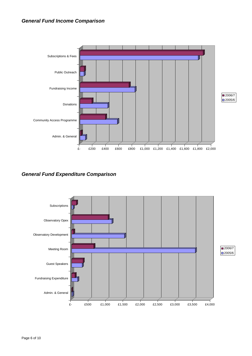# *General Fund Income Comparison*



*General Fund Expenditure Comparison*

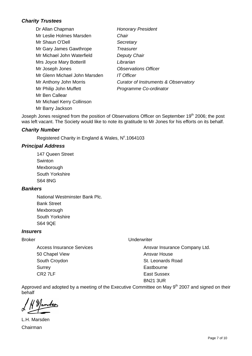# *Charity Trustees*

Dr Allan Chapman *Honorary President* Mr Leslie Holmes Marsden *Chair* Mr Shaun O'Dell *Secretary* Mr Gary James Gawthrope *Treasurer* Mr Michael John Waterfield *Deputy Chair* Mrs Joyce Mary Botterill *Librarian* Mr Joseph Jones *Observations Officer* Mr Glenn Michael John Marsden *IT Officer* Mr Anthony John Morris *Curator of Instruments & Observatory* Mr Philip John Muffett *Programme Co-ordinator* Mr Ben Callear Mr Michael Kerry Collinson Mr Barry Jackson

Joseph Jones resigned from the position of Observations Officer on September 19<sup>th</sup> 2006; the post was left vacant. The Society would like to note its gratitude to Mr Jones for his efforts on its behalf.

# *Charity Number*

Registered Charity in England & Wales, Nº.1064103

# *Principal Address*

147 Queen Street Swinton Mexborough South Yorkshire S64 8NG

# *Bankers*

National Westminster Bank Plc. Bank Street Mexborough South Yorkshire S64 9QE

# *Insurers*

Access Insurance Services 50 Chapel View South Croydon **Surrey** CR2 7LF

Broker Underwriter

Ansvar Insurance Company Ltd. Ansvar House St. Leonards Road **Eastbourne** East Sussex BN21 3UR

Approved and adopted by a meeting of the Executive Committee on May 9<sup>th</sup> 2007 and signed on their behalf

L.H. Marsden Chairman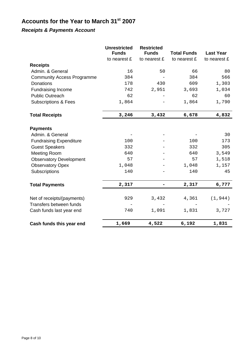# **Accounts for the Year to March 31st 2007**

# *Receipts & Payments Account*

|                                   | <b>Unrestricted</b><br><b>Funds</b> | <b>Restricted</b><br><b>Funds</b> | <b>Total Funds</b> | <b>Last Year</b> |
|-----------------------------------|-------------------------------------|-----------------------------------|--------------------|------------------|
|                                   | to nearest £                        | to nearest £                      | to nearest £       | to nearest £     |
| <b>Receipts</b>                   |                                     |                                   |                    |                  |
| Admin. & General                  | 16                                  | 50                                | 66                 | 80               |
| <b>Community Access Programme</b> | 384                                 |                                   | 384                | 566              |
| <b>Donations</b>                  | 178                                 | 430                               | 609                | 1,303            |
| <b>Fundraising Income</b>         | 742                                 | 2,951                             | 3,693              | 1,034            |
| <b>Public Outreach</b>            | 62                                  |                                   | 62                 | 60               |
| <b>Subscriptions &amp; Fees</b>   | 1,864                               |                                   | 1,864              | 1,790            |
| <b>Total Receipts</b>             | 3,246                               | 3,432                             | 6,678              | 4,832            |
|                                   |                                     |                                   |                    |                  |
| <b>Payments</b>                   |                                     |                                   |                    |                  |
| Admin. & General                  |                                     |                                   |                    | 30               |
| <b>Fundraising Expenditure</b>    | 100                                 |                                   | 100                | 173              |
| <b>Guest Speakers</b>             | 332                                 |                                   | 332                | 305              |
| <b>Meeting Room</b>               | 640                                 |                                   | 640                | 3,549            |
| <b>Observatory Development</b>    | 57                                  |                                   | 57                 | 1,518            |
| <b>Observatory Opex</b>           | 1,048                               |                                   | 1,048              | 1,157            |
| Subscriptions                     | 140                                 |                                   | 140                | 45               |
| <b>Total Payments</b>             | 2,317                               |                                   | 2,317              | 6,777            |
| Net of receipts/(payments)        | 929                                 | 3,432                             | 4,361              | (1, 944)         |
| Transfers between funds           |                                     |                                   |                    |                  |
| Cash funds last year end          | 740                                 | 1,091                             | 1,831              | 3,727            |
| Cash funds this year end          | 1,669                               | 4,522                             | 6,192              | 1,831            |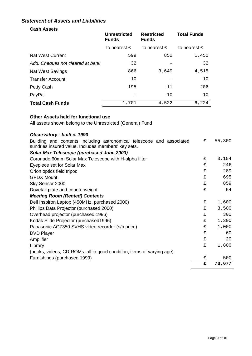# *Statement of Assets and Liabilities*

# **Cash Assets**

|                                  | <b>Unrestricted</b><br><b>Funds</b> | <b>Restricted</b><br><b>Funds</b> | <b>Total Funds</b> |
|----------------------------------|-------------------------------------|-----------------------------------|--------------------|
|                                  | to nearest £                        | to nearest £                      | to nearest £       |
| <b>Nat West Current</b>          | 599                                 | 852                               | 1,450              |
| Add: Cheques not cleared at bank | 32                                  |                                   | 32                 |
| <b>Nat West Savings</b>          | 866                                 | 3,649                             | 4,515              |
| <b>Transfer Account</b>          | 10                                  |                                   | 10                 |
| Petty Cash                       | 195                                 | 11                                | 206                |
| PayPal                           |                                     | 10                                | 10                 |
| <b>Total Cash Funds</b>          | 1,701                               | 4,522                             | 6,224              |

# **Other Assets held for functional use**

All assets shown belong to the Unrestricted (General) Fund

# *Observatory - built c. 1990*

| Building and contents including astronomical telescope and associated<br>sundries insured value. Includes members' key sets. | £ | 55,300 |
|------------------------------------------------------------------------------------------------------------------------------|---|--------|
| Solar Max Telescope (purchased June 2003)                                                                                    |   |        |
| Coronado 60mm Solar Max Telescope with H-alpha filter                                                                        | £ | 3,154  |
| Eyepiece set for Solar Max                                                                                                   | £ | 246    |
| Orion optics field tripod                                                                                                    | £ | 289    |
| <b>GPDX Mount</b>                                                                                                            | £ | 695    |
| Sky Sensor 2000                                                                                                              | £ | 859    |
| Dovetail plate and counterweight                                                                                             | £ | 54     |
| <b>Meeting Room (Rented) Contents</b>                                                                                        |   |        |
| Dell Inspiron Laptop (450MHz, purchased 2000)                                                                                | £ | 1,600  |
| Phillips Data Projector (purchased 2000)                                                                                     | £ | 3,500  |
| Overhead projector (purchased 1996)                                                                                          | £ | 300    |
| Kodak Slide Projector (purchased1996)                                                                                        | £ | 1,300  |
| Panasonic AG7350 SVHS video recorder (s/h price)                                                                             | £ | 1,000  |
| <b>DVD Player</b>                                                                                                            | £ | 60     |
| Amplifier                                                                                                                    | £ | 20     |
| Library                                                                                                                      | £ | 1,800  |
| (books, videos, CD-ROMs; all in good condition, items of varying age)                                                        |   |        |
| Furnishings (purchased 1999)                                                                                                 | £ | 500    |
|                                                                                                                              | £ | 70,677 |